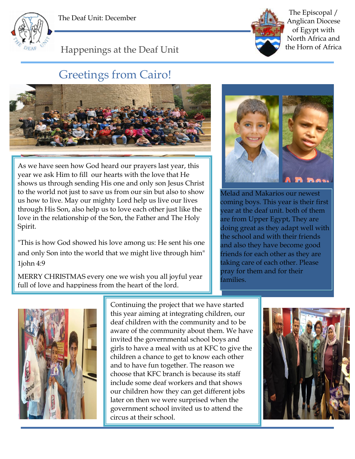





The Episcopal / Anglican Diocese of Egypt with North Africa and the Horn of Africa

Happenings at the Deaf Unit

## Greetings from Cairo!



As we have seen how God heard our prayers last year, this year we ask Him to fill our hearts with the love that He shows us through sending His one and only son Jesus Christ to the world not just to save us from our sin but also to show us how to live. May our mighty Lord help us live our lives through His Son, also help us to love each other just like the love in the relationship of the Son, the Father and The Holy Spirit.

"This is how God showed his love among us: He sent his one and only Son into the world that we might live through him" 1john 4:9

MERRY CHRISTMAS every one we wish you all joyful year full of love and happiness from the heart of the lord.



Melad and Makarios our newest coming boys. This year is their first year at the deaf unit. both of them are from Upper Egypt, They are doing great as they adapt well with the school and with their friends and also they have become good friends for each other as they are taking care of each other. Please pray for them and for their families.



Continuing the project that we have started this year aiming at integrating children, our deaf children with the community and to be aware of the community about them. We have invited the governmental school boys and girls to have a meal with us at KFC to give the children a chance to get to know each other and to have fun together. The reason we choose that KFC branch is because its staff include some deaf workers and that shows our children how they can get different jobs later on then we were surprised when the government school invited us to attend the circus at their school.